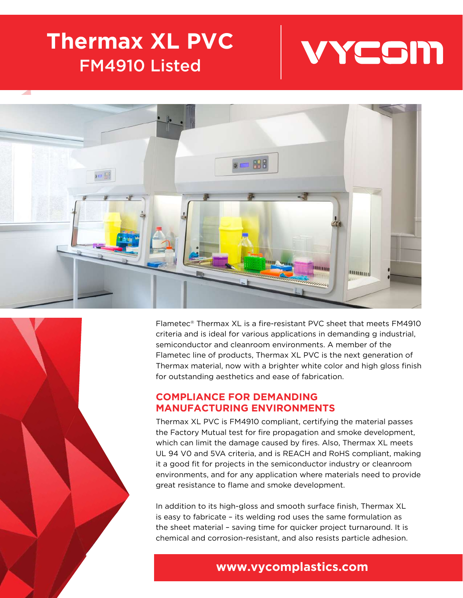# **Thermax XL PVC** FM4910 Listed





Flametec® Thermax XL is a fire-resistant PVC sheet that meets FM4910 criteria and is ideal for various applications in demanding g industrial, semiconductor and cleanroom environments. A member of the Flametec line of products, Thermax XL PVC is the next generation of Thermax material, now with a brighter white color and high gloss finish for outstanding aesthetics and ease of fabrication.

#### **COMPLIANCE FOR DEMANDING MANUFACTURING ENVIRONMENTS**

Thermax XL PVC is FM4910 compliant, certifying the material passes the Factory Mutual test for fire propagation and smoke development, which can limit the damage caused by fires. Also, Thermax XL meets UL 94 V0 and 5VA criteria, and is REACH and RoHS compliant, making it a good fit for projects in the semiconductor industry or cleanroom environments, and for any application where materials need to provide great resistance to flame and smoke development.

In addition to its high-gloss and smooth surface finish, Thermax XL is easy to fabricate – its welding rod uses the same formulation as the sheet material – saving time for quicker project turnaround. It is chemical and corrosion-resistant, and also resists particle adhesion.

## **www.vycomplastics.com**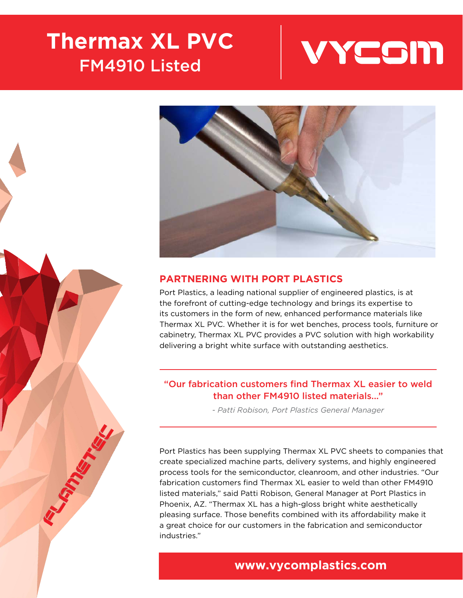# **Thermax XL PVC** FM4910 Listed







## **PARTNERING WITH PORT PLASTICS**

Port Plastics, a leading national supplier of engineered plastics, is at the forefront of cutting-edge technology and brings its expertise to its customers in the form of new, enhanced performance materials like Thermax XL PVC. Whether it is for wet benches, process tools, furniture or cabinetry, Thermax XL PVC provides a PVC solution with high workability delivering a bright white surface with outstanding aesthetics.

#### "Our fabrication customers find Thermax XL easier to weld than other FM4910 listed materials..."

*- Patti Robison, Port Plastics General Manager*

Port Plastics has been supplying Thermax XL PVC sheets to companies that create specialized machine parts, delivery systems, and highly engineered process tools for the semiconductor, cleanroom, and other industries. "Our fabrication customers find Thermax XL easier to weld than other FM4910 listed materials," said Patti Robison, General Manager at Port Plastics in Phoenix, AZ. "Thermax XL has a high-gloss bright white aesthetically pleasing surface. Those benefits combined with its affordability make it a great choice for our customers in the fabrication and semiconductor industries."

# **www.vycomplastics.com**